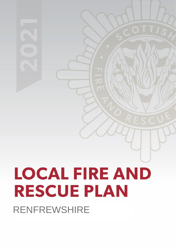# **LOCAL FIRE AND RESCUE PLAN** RENFREWSHIRE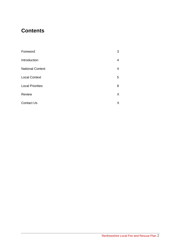## **Contents**

| Foreword                | 3 |
|-------------------------|---|
| Introduction            | 4 |
| <b>National Context</b> | 4 |
| <b>Local Context</b>    | 5 |
| <b>Local Priorities</b> | 8 |
| Review                  | X |
| <b>Contact Us</b>       | Х |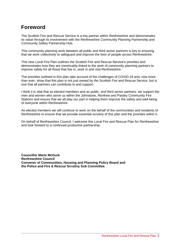## **Foreword**

The Scottish Fire and Rescue Service is a key partner within Renfrewshire and demonstrates its value through its involvement with the Renfrewshire Community Planning Partnership and Community Safety Partnership Hub.

This community planning work between all public and third sector partners is key to ensuring that we work collectively to safeguard and improve the lives of people across Renfrewshire.

This new Local Fire Plan outlines the Scottish Fire and Rescue Service's priorities and demonstrates how they are inextricably linked to the work of community planning partners to improve safety for all those that live in, work in and visit Renfrewshire.

The priorities outlined in this plan take account of the challenges of COVID-19 and, now more than ever, show that this plan is not just owned by the Scottish Fire and Rescue Service, but is one that all partners can contribute to and support.

I think it is vital that as elected members and as public, and third sector partners, we support the men and women who serve us within the Johnstone, Renfrew and Paisley Community Fire Stations and ensure that we all play our part in helping them improve the safety and well-being of everyone within Renfrewshire.

As elected members we will continue to work on the behalf of the communities and residents of Renfrewshire to ensure that we provide essential scrutiny of this plan and the priorities within it.

On behalf of Renfrewshire Council, I welcome this Local Fire and Rescue Plan for Renfrewshire and look forward to a continued productive partnership.

**Councillor Marie McGurk Renfrewshire Council Convener of Communities, Housing and Planning Policy Board and the Police and Fire & Rescue Scrutiny Sub Committee**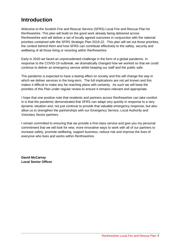## **Introduction**

Welcome to the Scottish Fire and Rescue Service (SFRS) Local Fire and Rescue Plan for Renfrewshire. This plan will build on the good work already being delivered across Renfrewshire and will deliver a set of locally agreed outcomes in conjunction with the national priorities contained with the SFRS Strategic Plan 2019-22. This plan will set out those priorities, the context behind them and how SFRS can contribute effectively to the safety, security and wellbeing of all those living or resorting within Renfrewshire.

Early in 2020 we faced an unprecedented challenge in the form of a global pandemic. In response to the COVID-19 outbreak, we dramatically changed how we worked so that we could continue to deliver an emergency service whilst keeping our staff and the public safe.

The pandemic is expected to have a lasting effect on society and this will change the way in which we deliver services in the long-term. The full implications are not yet known and this makes it difficult to make any far-reaching plans with certainty. As such we will keep the priorities of this Plan under regular review to ensure it remains relevant and appropriate.

I hope that one positive note that residents and partners across Renfrewshire can take comfort in is that the pandemic demonstrated that SFRS can adapt very quickly in response to a very dynamic situation and, not just continue to provide that valuable emergency response, but also allow us to strengthen the partnerships with our Emergency Service, Local Authority and Voluntary Sector partners.

I remain committed to ensuring that we provide a first-class service and give you my personal commitment that we will look for new, more innovative ways to work with all of our partners to increase safety, promote wellbeing, support business, reduce risk and improve the lives of everyone who lives and works within Renfrewshire.

**David McCarrey Local Senior Officer**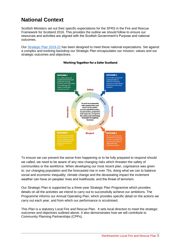## **National Context**

Scottish Ministers set out their specific expectations for the SFRS in the Fire and Rescue Framework for Scotland 2016. This provides the outline we should follow to ensure our resources and activities are aligned with the Scottish Government's Purpose and national outcomes.

Our [Strategic Plan 2019-22](https://www.firescotland.gov.uk/media/1476819/SFRS_Strategic_Plan_2019_22_V1.0.pdf) has been designed to meet these national expectations. Set against a complex and evolving backdrop our Strategic Plan encapsulates our mission, values and our strategic outcomes and objectives.



#### **Working Together for a Safer Scotland**

To ensure we can prevent the worse from happening or to be fully prepared to respond should we called, we need to be aware of any new changing risks which threaten the safety of communities or the workforce. When developing our most recent plan, cognisance was given to: our changing population and the forecasted rise in over 75s; doing what we can to balance social and economic inequality; climate change and the devastating impact the inclement weather can have on peoples' lives and livelihoods; and the threat of terrorism.

Our Strategic Plan is supported by a three-year Strategic Plan Programme which provides details on all the activities we intend to carry out to successfully achieve our ambitions. The Programme informs our Annual Operating Plan, which provides specific detail on the actions we carry out each year, and from which our performance is scrutinised.

This Plan is a statutory Local Fire and Rescue Plan. It sets local direction to meet the strategic outcomes and objectives outlined above. It also demonstrates how we will contribute to Community Planning Partnerships (CPPs).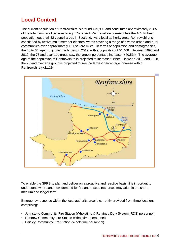## **Local Context**

The current population of Renfrewshire is around 179,900 and constitutes approximately 3.3% of the total number of persons living in Scotland. Renfrewshire currently has the 10<sup>th</sup> highest population out of all 32 council areas in Scotland. As a local authority area, Renfrewshire is constituted by twelve multi-member electoral wards covering a range of diverse urban and rural communities over approximately 101 square miles. In terms of population and demographics, the 45 to 64 age group was the largest in 2019, with a population of 51,408. Between 1998 and 2019, the 75 and over age group saw the largest percentage increase (+40.5%). The average age of the population of Renfrewshire is projected to increase further. Between 2018 and 2028, the 75 and over age group is projected to see the largest percentage increase within Renfrewshire (+21.1%)



To enable the SFRS to plan and deliver on a proactive and reactive basis, it is important to understand where and how demand for fire and rescue resources may arise in the short, medium and longer term.

Emergency response within the local authority area is currently provided from three locations comprising: -

- Johnstone Community Fire Station (Wholetime & Retained Duty System [RDS] personnel)
- Renfrew Community Fire Station (Wholetime personnel)
- Paisley Community Fire Station (Wholetime personnel).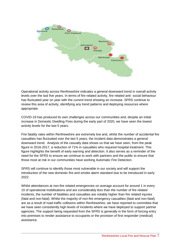

Operational activity across Renfrewshire indicates a general downward trend in overall activity levels over the last five years. In terms of fire related activity, fire related anti- social behaviour has fluctuated year on year with the current trend showing an increase. SFRS continue to review this area of activity, identifying any trend patterns and deploying resources where appropriate.

COVID-19 has produced its own challenges across our communities and, despite an initial increase in Domestic Dwelling Fires during the early part of 2020, we have seen the lowest activity levels for the last 5 years.

Fire fatality rates within Renfrewshire are extremely low and, whilst the number of accidental fire casualties has fluctuated over the last 5 years, the incident data demonstrates a general downward trend. Analysis of the casualty data shows us that we have seen, from the peak figure in 2016-2017, a reduction of 71% in casualties who required hospital treatment. This figure highlights the benefit of early warning and detection. It also serves as a reminder of the need for the SFRS to ensure we continue to work with partners and the public to ensure that those most at risk in our communities have working Automatic Fire Detection.

SFRS will continue to identify those most vulnerable in our society and will support the introduction of the new domestic fire and smoke alarm standard due to be introduced in early 2022.

Whilst attendances at non-fire related emergencies on average account for around 1 in every 10 of operational mobilisations and are considerably less than the number of fire related incidents, the number of fatalities and casualties are notably higher than fire related injuries (fatal and non-fatal). Whilst the majority of non-fire emergency casualties (fatal and non-fatal) are as a result of road traffic collisions within Renfrewshire, we have reported to committee that we have seen consistently high levels of incidents where we have deployed to support partner agencies. The support being requested from the SFRS is generally in the form of forcing entry into premises to render assistance to occupants or the provision of first responder (medical) assistance.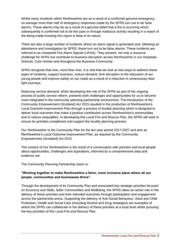Whilst many incidents within Renfrewshire are as a result of a confirmed genuine emergency, on average more than half of emergency responses made by the SFRS turn out to be false alarms. These alarms may be as a result of a genuine belief that a fire is occurring which subsequently is confirmed not to be the case or through malicious activity resulting in a report of fire being made knowing this report is false in its nature.

There are also a large number of incidents where an alarm signal is generated and, following an attendance and investigation by SFRS, these turn out to be false alarms. These incidents are referred to as Unwanted Fire Alarm Signals (UFAS). They present, not only a resource challenge for SFRS but contribute to business disruption across Renfrewshire in our Hospitals, Schools, Care Homes and throughout the Business Community.

SFRS recognise that now, more than ever, it is vital that we look at new ways to address these types of incidents, support business, reduce demand, limit disruption to the education of our young people and improve safety on our roads as a result of a reduction in unnecessary blue light journeys.

Reducing service demand, whilst developing the role of the SFRS as part of the ongoing process of public service reform, presents both challenges and opportunities for us to become more integrated in the community planning partnership environment. The introduction of the Community Empowerment (Scotland) Act 2015 resulted in the production of Renfrewshire's Local Outcome Improvement Plan through a process of locality planning which is designed to deliver local outcomes that make a positive contribution across Renfrewshire's communities and to reduce inequalities. In developing this Local Fire and Rescue Plan, the SFRS will seek to ensure its activities compliment and support the locality planning process.

Our Renfrewshire is the Community Plan for the ten-year period 2017-2027 and acts as Renfrewshire's Local Outcome Improvement Plan, as required by the Community Empowerment (Scotland) Act 2015.

The content of Our Renfrewshire is the result of a conversation with partners and local people about opportunities, challenges and aspirations, informed by a comprehensive data and evidence set.

The Community Planning Partnership vision is:

#### **"Working together to make Renfrewshire a fairer, more inclusive place where all our people, communities and businesses thrive".**

Through the development of its Community Plan and associated key strategic priorities focused on Economy and Skills, Safer Communities and Wellbeing, the SFRS takes an active role in the delivery of these priorities and their intended outcomes through participation and engagement across the partnership arena. Supporting the delivery of Anti-Social Behaviour, Adult and Child Protection, Health and Social Care (including Alcohol and Drug strategies) are examples of where the SFRS can collaborate in the delivery of these priorities at a local level whilst pursuing the key priorities of this Local Fire and Rescue Plan.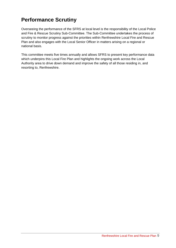## **Performance Scrutiny**

Overseeing the performance of the SFRS at local level is the responsibility of the Local Police and Fire & Rescue Scrutiny Sub-Committee. The Sub-Committee undertakes the process of scrutiny to monitor progress against the priorities within Renfrewshire Local Fire and Rescue Plan and also engages with the Local Senior Officer in matters arising on a regional or national basis.

This committee meets five times annually and allows SFRS to present key performance data which underpins this Local Fire Plan and highlights the ongoing work across the Local Authority area to drive down demand and improve the safety of all those residing in, and resorting to, Renfrewshire.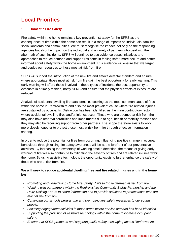## **Local Priorities**

#### **1. Domestic Fire Safety**

Fire safety within the home remains a key prevention strategy for the SFRS as the consequence of fires within the home can result in a range of impacts on individuals, families, social landlords and communities. We must recognise the impact, not only on the responding agencies but also the impact on the individual and a variety of partners who deal with the aftermath of such incidents. SFRS will continue to use evidence based initiatives and approaches to reduce demand and support residents in feeling safer, more secure and better informed about safety within the home environment. This evidence will ensure that we target and deploy our resources to those most at risk from fire.

SFRS will support the introduction of the new fire and smoke detector standard and ensure, where appropriate, those most at risk from fire gain the best opportunity for early warning. This early warning will afford those involved in these types of incidents the best opportunity to evacuate in a timely fashion, notify SFRS and ensure that the physical effects of exposure are reduced.

Analysis of accidental dwelling fire data identifies cooking as the most common cause of fires within the home in Renfrewshire and also the most prevalent cause where fire related injuries are sustained by occupants. Distraction has been identified as the main contributory factor where accidental dwelling fires and/or injuries occur. Those who are deemed at risk from fire may also have other vulnerabilities and impairments due to age, health or mobility reasons and they may also be receiving support from other partners. The scope therefore exists to work more closely together to protect those most at risk from fire through effective information sharing.

In order to reduce the potential for fires from occurring, influencing positive change in occupant behaviours through raising fire safety awareness will be at the forefront of our preventative activities. By increasing the ownership of working smoke detection, the means of giving early warning of fire will also contribute to mitigating the severity of fires and fire related injuries within the home. By using assistive technology, the opportunity exists to further enhance the safety of those who are at risk from fire.

#### **We will seek to reduce accidental dwelling fires and fire related injuries within the home by:**

- *Promoting and undertaking Home Fire Safety Visits to those deemed at risk from fire*
- *Working with our partners within the Renfrewshire Community Safety Partnership and the Daily Tasking Forum to share information and to provide solutions to protect those who are most at risk from fire.*
- *Continuing our schools programme and promoting key safety messages to our young people.*
- *Focusing engagement activities in those areas where service demand has been identified*
- *Supporting the provision of assistive technology within the home to increase occupant safety.*
- *Ensure that SFRS promotes and supports public safety messaging across Renfrewshire*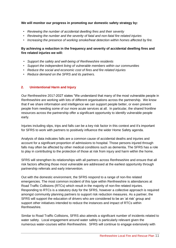#### **We will monitor our progress in promoting our domestic safety strategy by:**

- *Reviewing the number of accidental dwelling fires and their severity*
- *Reviewing the number and the severity of fatal and non-fatal fire related injuries*
- *Increasing the presence of working smoke/heat detection within homes affected by fire.*

#### **By achieving a reduction in the frequency and severity of accidental dwelling fires and fire related injuries we will:**

- *Support the safety and well-being of Renfrewshire residents*
- *Support the independent living of vulnerable members within our communities*
- *Reduce the social and economic cost of fires and fire related injuries*
- *Reduce demand on the SFRS and its partners.*

#### **2. Unintentional Harm and Injury**

Our Renfrewshire 2017-2027 states "We understand that many of the most vulnerable people in Renfrewshire are working with lots of different organisations across the partnership. We know that if we share information and intelligence we can support people better, or even prevent people from needing some of our more acute services at all. In particular, the shared frontline resources across the partnership offer a significant opportunity to identify vulnerable people early.

Injuries including slips, trips and falls can be a key risk factor in this context and it's important for SFRS to work with partners to positively influence the wider Home Safety agenda.

Analysis of data indicates falls are a common cause of accidental deaths and injuries and account for a significant proportion of admissions to hospital. Those persons injured through falls may often be affected by other medical conditions such as dementia. The SFRS has a role to play in contributing to the protection of those at risk from injury and harm within the home.

SFRS will strengthen its relationships with all partners across Renfrewshire and ensure that all risk factors affecting those most vulnerable are addressed at the earliest opportunity through partnership referrals and early intervention.

Out with the domestic environment, the SFRS respond to a range of non-fire related emergencies. The most common incident of this type within Renfrewshire is attendances at Road Traffic Collisions (RTCs) which result in the majority of non-fire related injuries. Responding to RTCs is a statutory duty for the SFRS, however a collective approach is required amongst community planning partners to support risk reduction measures. As a partner, the SFRS will support the education of drivers who are considered to be an 'at risk' group and support other initiatives intended to reduce the instances and impact of RTCs within Renfrewshire.

Similar to Road Traffic Collisions, SFRS also attends a significant number of incidents related to water safety. Local engagement around water safety is particularly relevant given the numerous water-courses within Renfrewshire. SFRS will continue to engage extensively with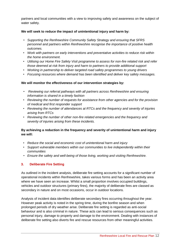partners and local communities with a view to improving safety and awareness on the subject of water safety.

#### **We will seek to reduce the impact of unintentional injury and harm by:**

- *Supporting the Renfrewshire Community Safety Strategy and ensuring that SFRS personnel and partners within Renfrewshire recognise the importance of positive health outcomes.*
- *Work with partners on early interventions and preventative activities to reduce risk within the home environment.*
- *Utilising our Home Fire Safety Visit programme to assess for non-fire related risk and refer those deemed at risk from injury and harm to partners to provide additional support*
- *Working in partnership to deliver targeted road safety programmes to young drivers*
- *Focusing resources where demand has been identified and deliver key safety messages.*

#### **We will monitor the effectiveness of our intervention strategies by:**

- *Reviewing our referral pathways with all partners across Renfrewshire and ensuring information is shared in a timely fashion*
- *Reviewing the number of requests for assistance from other agencies and for the provision of medical and first responder support*
- *Reviewing the number of attendances at RTCs and the frequency and severity of injuries arising from RTCs*
- *Reviewing the number of other non-fire related emergencies and the frequency and severity of injuries arising from these incidents.*

#### **By achieving a reduction in the frequency and severity of unintentional harm and injury we will:**

- *Reduce the social and economic cost of unintentional harm and injury*
- *Support vulnerable members within our communities to live independently within their communities*
- *Ensure the safety and well-being of those living, working and visiting Renfrewshire.*

#### **3. Deliberate Fire Setting**

As outlined in the incident analysis, deliberate fire setting accounts for a significant number of operational incidents within Renfrewshire, takes various forms and has been an activity area where we have seen an increase. Whilst a small proportion involves occupied buildings, vehicles and outdoor structures (primary fires), the majority of deliberate fires are classed as secondary in nature and on most occasions, occur in outdoor locations.

Analysis of incident data identifies deliberate secondary fires occurring throughout the year. However peak activity is noted in the spring time, during the bonfire season and when prolonged periods of dry weather arise. Deliberate fire setting is regarded as anti-social behaviour and is also criminal in nature. These acts can lead to serious consequences such as personal injury, damage to property and damage to the environment. Dealing with instances of deliberate fire setting also diverts fire and rescue resources from other meaningful activities.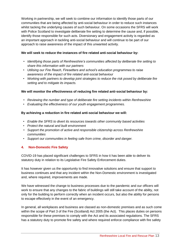Working in partnership, we will seek to combine our information to identify those parts of our communities that are being affected by anti-social behaviour in order to reduce such instances whilst tacking the underlying causes of such behaviour. On some occasions the SFRS will work with Police Scotland to investigate deliberate fire setting to determine the cause and, if possible, identify those responsible for such acts. Diversionary and engagement activity is regarded as an important approach in tackling anti-social behaviour and will continue to be part of our approach to raise awareness of the impact of this unwanted activity.

#### **We will seek to reduce the instances of fire related anti-social behaviour by:**

- *Identifying those parts of Renfrewshire's communities affected by deliberate fire setting to share this information with our partners*
- *Utilising our Fire Reach, Firesetters and school's education programmes to raise awareness of the impact of fire related anti-social behaviour*
- *Working with partners to develop joint strategies to reduce the risk posed by deliberate fire setting and to mitigate its impacts.*

#### **We will monitor the effectiveness of reducing fire related anti-social behaviour by:**

- *Reviewing the number and type of deliberate fire setting incidents within Renfrewshire*
- *Evaluating the effectiveness of our youth engagement programmes.*

#### **By achieving a reduction in fire related anti-social behaviour we will:**

- *Enable the SFRS to divert its resources towards other community based activities*
- *Protect the natural and built environment*
- *Support the promotion of active and responsible citizenship across Renfrewshire communities*
- *Support our communities in feeling safe from crime, disorder and danger.*

#### **4. Non-Domestic Fire Safety**

COVID-19 has placed significant challenges to SFRS in how it has been able to deliver its statutory duty in relation to its Legislative Fire Safety Enforcement duties.

It has however given us the opportunity to find innovative solutions and ensure that support to business continues and that any incident within the Non-Domestic environment is investigated and, where required, improvements are made.

We have witnessed the change to business processes due to the pandemic and our officers will work to ensure that any changes to the fabric of buildings will still take account of the ability, not only for the building to perform correctly when an incident occurs, but also the ability for persons to escape effectively in the event of an emergency.

In general, all workplaces and business are classed as non-domestic premises and as such come within the scope of Part 3 of the Fire (Scotland) Act 2005 (the Act). This places duties on persons responsible for these premises to comply with the Act and its associated regulations. The SFRS has a statutory duty to promote fire safety and where required enforce compliance with fire safety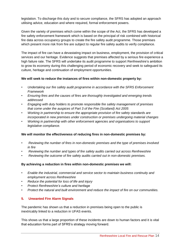legislation. To discharge this duty and to secure compliance, the SFRS has adopted an approach utilising advice, education and where required, formal enforcement powers.

Given the variety of premises which come within the scope of the Act, the SFRS has developed a fire safety enforcement framework which is based on the principal of risk combined with historical fire data across occupancy groups to create the fire safety audit programme. Those premises which present more risk from fire are subject to regular fire safety audits to verify compliance.

The impact of fire can have a devastating impact on business, employment, the provision of critical services and our heritage. Evidence suggests that premises affected by a serious fire experience a high failure rate. The SFRS will undertake its audit programme to support Renfrewshire's ambition to grow its economy during this challenging period of economic recovery and seek to safeguard its culture, heritage and continuation of employment opportunities.

#### **We will seek to reduce the instances of fires within non-domestic property by:**

- *Undertaking our fire safety audit programme in accordance with the SFRS Enforcement Framework*
- *Ensuring fires and the causes of fires are thoroughly investigated and emerging trends addressed*
- *Engaging with duty holders to promote responsible fire safety management of premises that come under the auspices of Part 3 of the Fire (Scotland) Act 2005*
- *Working in partnership to ensure the appropriate provision of fire safety standards are incorporated in new premises under construction or premises undergoing material changes*
- *Working in partnership with other enforcement agencies and organisations to support legislative compliance.*

#### **We will monitor the effectiveness of reducing fires in non-domestic premises by:**

- *Reviewing the number of fires in non-domestic premises and the type of premises involved in fire*
- *Reviewing the number and types of fire safety audits carried out across Renfrewshire*
- *Reviewing the outcome of fire safety audits carried out in non-domestic premises.*

#### **By achieving a reduction in fires within non-domestic premises we will:**

- *Enable the industrial, commercial and service sector to maintain business continuity and employment across Renfrewshire*
- *Reduce the potential for loss of life and injury*
- *Protect Renfrewshire's culture and heritage*
- *Protect the natural and built environment and reduce the impact of fire on our communities.*

#### **5. Unwanted Fire Alarm Signals**

The pandemic has shown us that a reduction in premises being open to the public is inextricably linked to a reduction in UFAS events.

This shows us that a large proportion of these incidents are down to human factors and it is vital that education forms part of SFRS's strategy moving forward.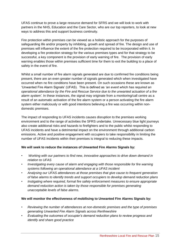UFAS continue to prove a large resource demand for SFRS and we will look to work with partners in the NHS, Education and the Care Sector, who are our top reporters, to look at new ways to address this and support business continuity.

Fire protection within premises can be viewed as a holistic approach for the purposes of safeguarding life and/or property by inhibiting, growth and spread of fire. The design and use of premises will influence the extent of the fire protection required to be incorporated within it. In developing a fire protection strategy for the various premises types and for that strategy to be successful, a key component is the provision of early warning of fire. The provision of early warning enables those within premises sufficient time for them to exit the building to a place of safety in the event of fire.

Whilst a small number of fire alarm signals generated are due to confirmed fire conditions being present, there are an even greater number of signals generated which when investigated have occurred when no fire conditions have been present. On such occasions these are known as 'Unwanted Fire Alarm Signals' (UFAS). This is defined as *'an event which has required an operational attendance by the Fire and Rescue Service due to the unwanted actuation of a fire alarm system'*. In these instances, the signal may originate from a monitoring/call centre as a result of an automatic activation of the fire alarm system or a person activating the fire alarm system either maliciously or with good intentions believing a fire was occurring within nondomestic premises.

The impact of responding to UFAS incidents causes disruption to the premises working environment and to the range of activities the SFRS undertake. Unnecessary blue light journeys also create additional risks and hazards to firefighters and to the public whilst responding to UFAS incidents and have a detrimental impact on the environment through additional carbon emissions. Active and positive engagement with occupiers to take responsibility in limiting the number of UFAS incidents within their premises is integral to reducing these impacts.

#### **We will seek to reduce the instances of Unwanted Fire Alarms Signals by:**

- *Working with our partners to find new, innovative approaches to drive down demand in relation to UFAS*
- *Investigating every cause of alarm and engaging with those responsible for fire warning systems following an operational attendance at a UFAS incident*
- *Analysing our UFAS attendances at those premises that give cause to frequent generation of false alarms to identify trends and support occupiers to develop demand reduction plans*
- *Instigating where required, formal fire safety enforcement measures to ensure appropriate demand reduction action is taken by those responsible for premises generating unacceptable levels of false alarms.*

#### **We will monitor the effectiveness of mobilising to Unwanted Fire Alarms Signals by:**

- *Reviewing the number of attendances at non-domestic premises and the type of premises generating Unwanted Fire Alarm Signals across Renfrewshire*
- *Evaluating the outcomes of occupier's demand reduction plans to review progress and identify and share good practice*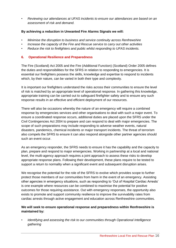• *Reviewing our attendances at UFAS incidents to ensure our attendances are based on an assessment of risk and demand.*

#### **By achieving a reduction in Unwanted Fire Alarms Signals we will:**

- *Minimise the disruption to business and service continuity across Renfrewshire*
- *Increase the capacity of the Fire and Rescue service to carry out other activities*
- *Reduce the risk to firefighters and public whilst responding to UFAS incidents.*

#### **6. Operational Resilience and Preparedness**

The Fire (Scotland) Act 2005 and the Fire (Additional Function) (Scotland) Order 2005 defines the duties and responsibilities for the SFRS in relation to responding to emergencies. It is essential our firefighters possess the skills, knowledge and expertise to respond to incidents which, by their nature, can be varied in both their type and complexity.

It is important our firefighters understand the risks across their communities to ensure the level of risk is matched by an appropriate level of operational response. In gathering this knowledge, appropriate training can be carried out to safeguard firefighter safety and to ensure any such response results in an effective and efficient deployment of our resources.

There will also be occasions whereby the nature of an emergency will require a combined response by emergencies services and other organisations to deal with such a major event. To ensure a coordinated response occurs, additional duties are placed upon the SFRS under the Civil Contingencies Act 2004 to prepare and can respond to deal with major emergencies. The scope of such preparations may include responding to adverse weather events, natural disasters, pandemics, chemical incidents or major transport incidents. The threat of terrorism also compels the SFRS to ensure it can also respond alongside other partner agencies should such an event occur.

As an emergency responder, the SFRS needs to ensure it has the capability and the capacity to plan, prepare and respond to major emergencies. Working in partnership at a local and national level, the multi-agency approach requires a joint approach to assess these risks to develop appropriate response plans. Following their development, these plans require to be tested to support a return to normality when a significant event and subsequent disruption arises.

We recognise the potential for the role of the SFRS to evolve which provides scope to further protect those members of our communities from harm in the event of an emergency. Assisting other agencies in emergency situations, such as responding to 'Out of Hospital Cardiac Arrests' is one example where resources can be combined to maximise the potential for positive outcomes for those requiring assistance. Out with emergency responses, the opportunity also exists to promote and support community resilience to improve the survivability rates from cardiac arrests through active engagement and education across Renfrewshire communities.

#### **We will seek to ensure operational response and preparedness within Renfrewshire is maintained by:**

• *Identifying and assessing the risk to our communities through Operational Intelligence gathering*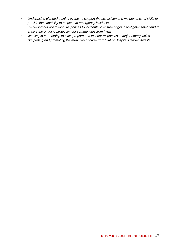- *Undertaking planned training events to support the acquisition and maintenance of skills to provide the capability to respond to emergency incidents*
- *Reviewing our operational responses to incidents to ensure ongoing firefighter safety and to ensure the ongoing protection our communities from harm*
- *Working in partnership to plan, prepare and test our responses to major emergencies*
- *Supporting and promoting the reduction of harm from 'Out of Hospital Cardiac Arrests'*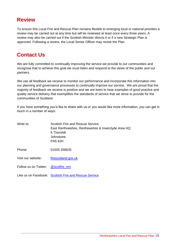### **Review**

To ensure this Local Fire and Rescue Plan remains flexible to emerging local or national priorities a review may be carried out at any time but will be reviewed at least once every three years. A review may also be carried out if the Scottish Minister directs it or if a new Strategic Plan is approved. Following a review, the Local Senior Officer may revise the Plan.

## **Contact Us**

We are fully committed to continually improving the service we provide to our communities and recognise that to achieve this goal we must listen and respond to the views of the public and our partners.

We use all feedback we receive to monitor our performance and incorporate this information into our planning and governance processes to continually improve our service. We are proud that the majority of feedback we receive is positive and we are keen to hear examples of good practice and quality service delivery that exemplifies the standards of service that we strive to provide for the communities of Scotland.

If you have something you'd like to share with us or you would like more information, you can get in touch in a number of ways:

| Write to:             | Scottish Fire and Rescue Service<br>East Renfrewshire, Renfrewshire & Inverclyde Area HQ<br>5 Thornhill<br>Johnstone<br>PA5 8JH |
|-----------------------|---------------------------------------------------------------------------------------------------------------------------------|
| Phone:                | 01505 356635                                                                                                                    |
| Visit our website:    | firescotland.gov.uk                                                                                                             |
| Follow us on Twitter: | @scotfire erri                                                                                                                  |
|                       | Like us on Facebook: Scottish Fire and Rescue Service                                                                           |